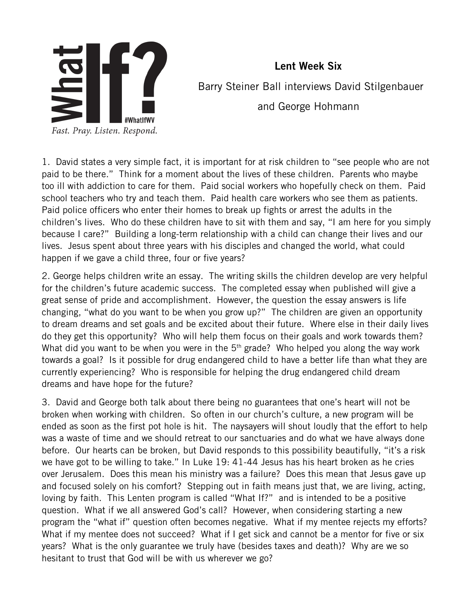

 Lent Week Six Barry Steiner Ball interviews David Stilgenbauer and George Hohmann

1. David states a very simple fact, it is important for at risk children to "see people who are not paid to be there." Think for a moment about the lives of these children. Parents who maybe too ill with addiction to care for them. Paid social workers who hopefully check on them. Paid school teachers who try and teach them. Paid health care workers who see them as patients. Paid police officers who enter their homes to break up fights or arrest the adults in the children's lives. Who do these children have to sit with them and say, "I am here for you simply because I care?" Building a long-term relationship with a child can change their lives and our lives. Jesus spent about three years with his disciples and changed the world, what could happen if we gave a child three, four or five years?

2. George helps children write an essay. The writing skills the children develop are very helpful for the children's future academic success. The completed essay when published will give a great sense of pride and accomplishment. However, the question the essay answers is life changing, "what do you want to be when you grow up?" The children are given an opportunity to dream dreams and set goals and be excited about their future. Where else in their daily lives do they get this opportunity? Who will help them focus on their goals and work towards them? What did you want to be when you were in the  $5<sup>th</sup>$  grade? Who helped you along the way work towards a goal? Is it possible for drug endangered child to have a better life than what they are currently experiencing? Who is responsible for helping the drug endangered child dream dreams and have hope for the future?

3. David and George both talk about there being no guarantees that one's heart will not be broken when working with children. So often in our church's culture, a new program will be ended as soon as the first pot hole is hit. The naysayers will shout loudly that the effort to help was a waste of time and we should retreat to our sanctuaries and do what we have always done before. Our hearts can be broken, but David responds to this possibility beautifully, "it's a risk we have got to be willing to take." In Luke 19: 41-44 Jesus has his heart broken as he cries over Jerusalem. Does this mean his ministry was a failure? Does this mean that Jesus gave up and focused solely on his comfort? Stepping out in faith means just that, we are living, acting, loving by faith. This Lenten program is called "What If?" and is intended to be a positive question. What if we all answered God's call? However, when considering starting a new program the "what if" question often becomes negative. What if my mentee rejects my efforts? What if my mentee does not succeed? What if I get sick and cannot be a mentor for five or six years? What is the only guarantee we truly have (besides taxes and death)? Why are we so hesitant to trust that God will be with us wherever we go?